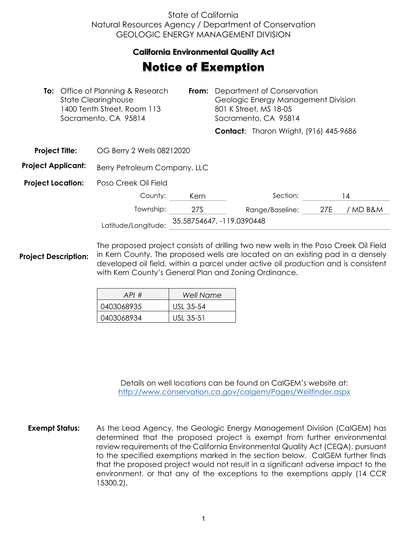## State of California Natural Resources Agency / Department of Conservation GEOLOGIC ENERGY MANAGEMENT DIVISION

## **California Environmental Quality Act**  California Environmental Quality Act

## **Notice of Exemption**

|                           | <b>To:</b> Office of Planning & Research<br><b>State Clearinghouse</b><br>1400 Tenth Street, Room 113<br>Sacramento, CA 95814 |                           | <b>From:</b> Department of Conservation<br>Geologic Energy Management Division<br>801 K Street, MS 18-05<br>Sacramento, CA 95814 |                                               |     |          |  |
|---------------------------|-------------------------------------------------------------------------------------------------------------------------------|---------------------------|----------------------------------------------------------------------------------------------------------------------------------|-----------------------------------------------|-----|----------|--|
|                           |                                                                                                                               |                           |                                                                                                                                  | <b>Contact:</b> Tharon Wright, (916) 445-9686 |     |          |  |
| <b>Project Title:</b>     | OG Berry 2 Wells 08212020                                                                                                     |                           |                                                                                                                                  |                                               |     |          |  |
| <b>Project Applicant:</b> | Berry Petroleum Company, LLC                                                                                                  |                           |                                                                                                                                  |                                               |     |          |  |
| <b>Project Location:</b>  | Poso Creek Oil Field                                                                                                          |                           |                                                                                                                                  |                                               |     |          |  |
|                           | County:                                                                                                                       | Kern                      |                                                                                                                                  | Section:                                      |     | 14       |  |
|                           | Township:                                                                                                                     | 27S                       |                                                                                                                                  | Range/Baseline:                               | 27E | / MD B&M |  |
|                           | Latitude/Longitude:                                                                                                           | 35.58754647, -119.0390448 |                                                                                                                                  |                                               |     |          |  |

**Project Description:** The proposed project consists of drilling two new wells in the Poso Creek Oil Field in Kern County. The proposed wells are located on an existing pad in a densely developed oil field, within a parcel under active oil production and is consistent with Kern County's General Plan and Zoning Ordinance.

| API#       | Well Name |
|------------|-----------|
| 0403068935 | USL 35-54 |
| 0403068934 | USI 35-51 |

Details on well locations can be found on CalGEM's website at: <http://www.conservation.ca.gov/calgem/Pages/Wellfinder.aspx>

**Exempt Status:** As the Lead Agency, the Geologic Energy Management Division (CalGEM) has determined that the proposed project is exempt from further environmental review requirements of the California Environmental Quality Act (CEQA), pursuant to the specified exemptions marked in the section below. CalGEM further finds that the proposed project would not result in a significant adverse impact to the environment, or that any of the exceptions to the exemptions apply (14 CCR 15300.2).